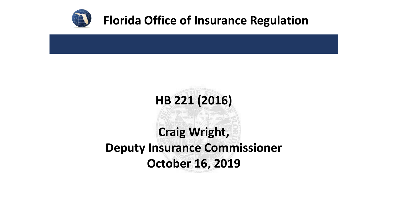

#### **Florida Office of Insurance Regulation**

# **HB 221 (2016) Craig Wright, Deputy Insurance Commissioner October 16, 2019**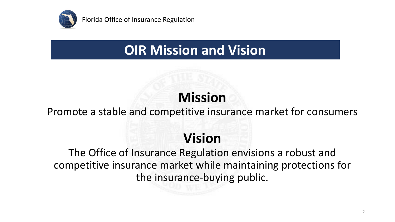

### **OIR Mission and Vision**

### **Mission**

#### Promote a stable and competitive insurance market for consumers

### **Vision**

The Office of Insurance Regulation envisions a robust and competitive insurance market while maintaining protections for the insurance-buying public.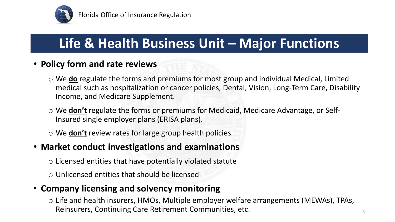

### **Life & Health Business Unit – Major Functions**

#### • **Policy form and rate reviews**

- o We **do** regulate the forms and premiums for most group and individual Medical, Limited medical such as hospitalization or cancer policies, Dental, Vision, Long-Term Care, Disability Income, and Medicare Supplement.
- o We **don't** regulate the forms or premiums for Medicaid, Medicare Advantage, or Self-Insured single employer plans (ERISA plans).
- o We **don't** review rates for large group health policies.

#### • **Market conduct investigations and examinations**

- $\circ$  Licensed entities that have potentially violated statute
- $\circ$  Unlicensed entities that should be licensed

#### • **Company licensing and solvency monitoring**

o Life and health insurers, HMOs, Multiple employer welfare arrangements (MEWAs), TPAs, Reinsurers, Continuing Care Retirement Communities, etc.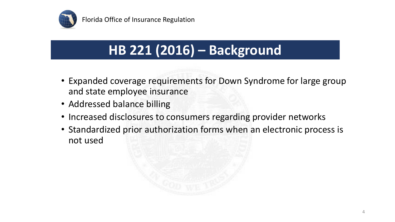

# **HB 221 (2016) – Background**

- Expanded coverage requirements for Down Syndrome for large group and state employee insurance
- Addressed balance billing
- Increased disclosures to consumers regarding provider networks
- Standardized prior authorization forms when an electronic process is not used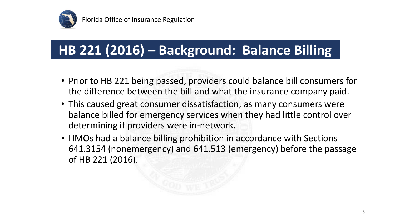

# **HB 221 (2016) – Background: Balance Billing**

- Prior to HB 221 being passed, providers could balance bill consumers for the difference between the bill and what the insurance company paid.
- This caused great consumer dissatisfaction, as many consumers were balance billed for emergency services when they had little control over determining if providers were in-network.
- HMOs had a balance billing prohibition in accordance with Sections 641.3154 (nonemergency) and 641.513 (emergency) before the passage of HB 221 (2016).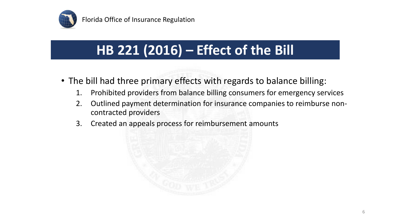

# **HB 221 (2016) – Effect of the Bill**

- The bill had three primary effects with regards to balance billing:
	- 1. Prohibited providers from balance billing consumers for emergency services
	- 2. Outlined payment determination for insurance companies to reimburse noncontracted providers
	- 3. Created an appeals process for reimbursement amounts

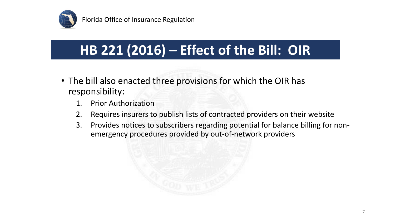

Florida Office of Insurance Regulation

### **HB 221 (2016) – Effect of the Bill: OIR**

- The bill also enacted three provisions for which the OIR has responsibility:
	- 1. Prior Authorization
	- 2. Requires insurers to publish lists of contracted providers on their website
	- 3. Provides notices to subscribers regarding potential for balance billing for nonemergency procedures provided by out-of-network providers

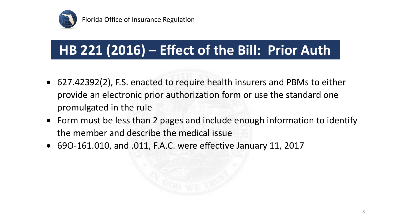

# **HB 221 (2016) – Effect of the Bill: Prior Auth**

- 627.42392(2), F.S. enacted to require health insurers and PBMs to either provide an electronic prior authorization form or use the standard one promulgated in the rule
- Form must be less than 2 pages and include enough information to identify the member and describe the medical issue
- 69O-161.010, and .011, F.A.C. were effective January 11, 2017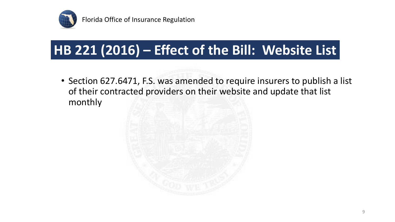

Florida Office of Insurance Regulation

## **HB 221 (2016) – Effect of the Bill: Website List**

• Section 627.6471, F.S. was amended to require insurers to publish a list of their contracted providers on their website and update that list monthly

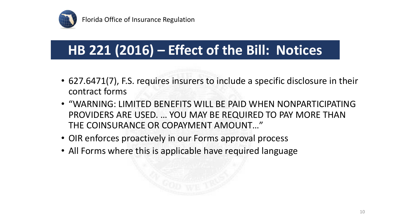

# **HB 221 (2016) – Effect of the Bill: Notices**

- 627.6471(7), F.S. requires insurers to include a specific disclosure in their contract forms
- "WARNING: LIMITED BENEFITS WILL BE PAID WHEN NONPARTICIPATING PROVIDERS ARE USED. … YOU MAY BE REQUIRED TO PAY MORE THAN THE COINSURANCE OR COPAYMENT AMOUNT…"
- OIR enforces proactively in our Forms approval process
- All Forms where this is applicable have required language